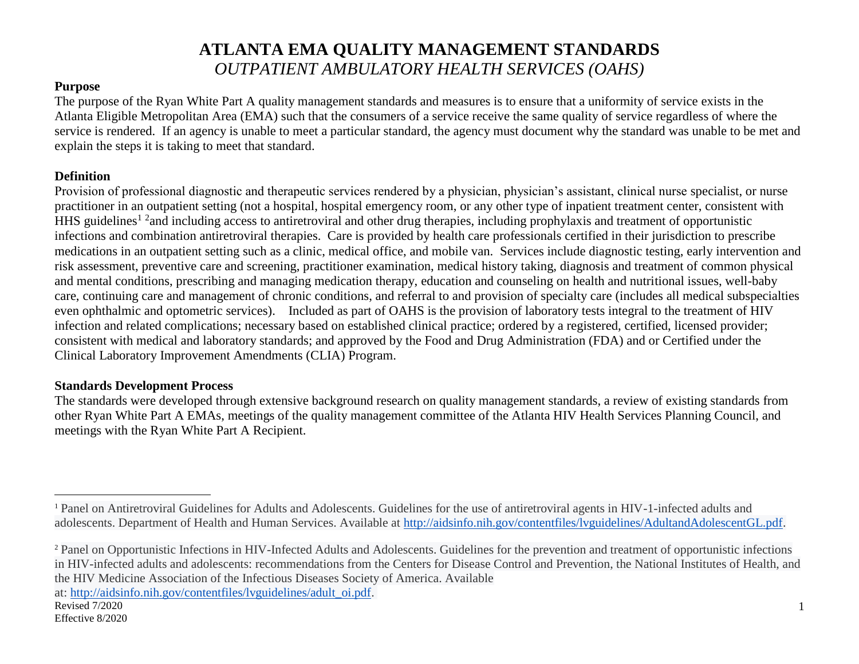#### **Purpose**

The purpose of the Ryan White Part A quality management standards and measures is to ensure that a uniformity of service exists in the Atlanta Eligible Metropolitan Area (EMA) such that the consumers of a service receive the same quality of service regardless of where the service is rendered. If an agency is unable to meet a particular standard, the agency must document why the standard was unable to be met and explain the steps it is taking to meet that standard.

#### **Definition**

Provision of professional diagnostic and therapeutic services rendered by a physician, physician's assistant, clinical nurse specialist, or nurse practitioner in an outpatient setting (not a hospital, hospital emergency room, or any other type of inpatient treatment center, consistent with HHS guidelines<sup>1 2</sup> and including access to antiretroviral and other drug therapies, including prophylaxis and treatment of opportunistic infections and combination antiretroviral therapies. Care is provided by health care professionals certified in their jurisdiction to prescribe medications in an outpatient setting such as a clinic, medical office, and mobile van. Services include diagnostic testing, early intervention and risk assessment, preventive care and screening, practitioner examination, medical history taking, diagnosis and treatment of common physical and mental conditions, prescribing and managing medication therapy, education and counseling on health and nutritional issues, well-baby care, continuing care and management of chronic conditions, and referral to and provision of specialty care (includes all medical subspecialties even ophthalmic and optometric services). Included as part of OAHS is the provision of laboratory tests integral to the treatment of HIV infection and related complications; necessary based on established clinical practice; ordered by a registered, certified, licensed provider; consistent with medical and laboratory standards; and approved by the Food and Drug Administration (FDA) and or Certified under the Clinical Laboratory Improvement Amendments (CLIA) Program.

#### **Standards Development Process**

The standards were developed through extensive background research on quality management standards, a review of existing standards from other Ryan White Part A EMAs, meetings of the quality management committee of the Atlanta HIV Health Services Planning Council, and meetings with the Ryan White Part A Recipient.

at: [http://aidsinfo.nih.gov/contentfiles/lvguidelines/adult\\_oi.pdf.](http://aidsinfo.nih.gov/contentfiles/lvguidelines/adult_oi.pdf)

 $\overline{a}$ 

<sup>1</sup> Panel on Antiretroviral Guidelines for Adults and Adolescents. Guidelines for the use of antiretroviral agents in HIV-1-infected adults and adolescents. Department of Health and Human Services. Available at [http://aidsinfo.nih.gov/contentfiles/lvguidelines/AdultandAdolescentGL.pdf.](http://aidsinfo.nih.gov/contentfiles/lvguidelines/AdultandAdolescentGL.pdf)

<sup>2</sup> Panel on Opportunistic Infections in HIV-Infected Adults and Adolescents. Guidelines for the prevention and treatment of opportunistic infections in HIV-infected adults and adolescents: recommendations from the Centers for Disease Control and Prevention, the National Institutes of Health, and the HIV Medicine Association of the Infectious Diseases Society of America. Available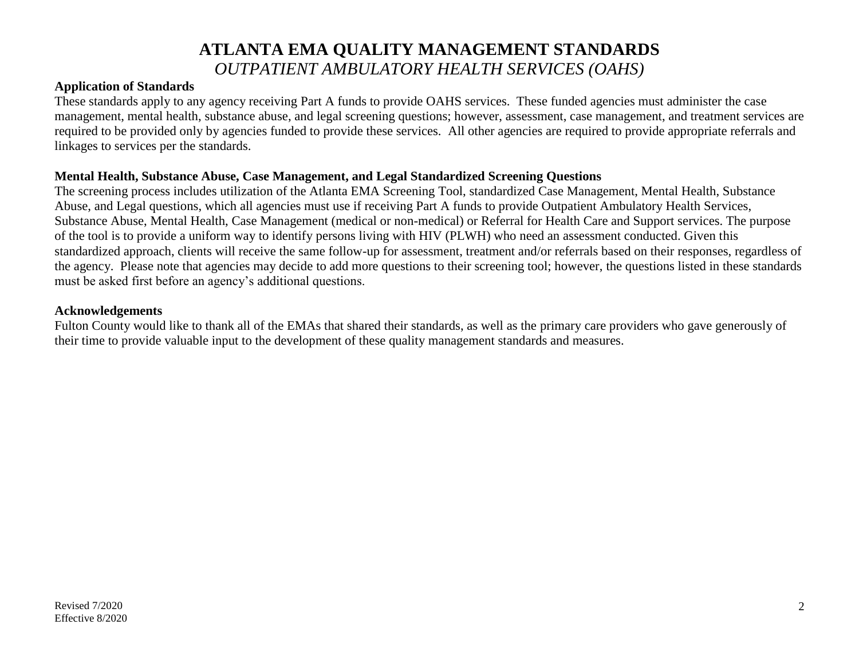#### **Application of Standards**

These standards apply to any agency receiving Part A funds to provide OAHS services. These funded agencies must administer the case management, mental health, substance abuse, and legal screening questions; however, assessment, case management, and treatment services are required to be provided only by agencies funded to provide these services. All other agencies are required to provide appropriate referrals and linkages to services per the standards.

#### **Mental Health, Substance Abuse, Case Management, and Legal Standardized Screening Questions**

The screening process includes utilization of the Atlanta EMA Screening Tool, standardized Case Management, Mental Health, Substance Abuse, and Legal questions, which all agencies must use if receiving Part A funds to provide Outpatient Ambulatory Health Services, Substance Abuse, Mental Health, Case Management (medical or non-medical) or Referral for Health Care and Support services. The purpose of the tool is to provide a uniform way to identify persons living with HIV (PLWH) who need an assessment conducted. Given this standardized approach, clients will receive the same follow-up for assessment, treatment and/or referrals based on their responses, regardless of the agency. Please note that agencies may decide to add more questions to their screening tool; however, the questions listed in these standards must be asked first before an agency's additional questions.

#### **Acknowledgements**

Fulton County would like to thank all of the EMAs that shared their standards, as well as the primary care providers who gave generously of their time to provide valuable input to the development of these quality management standards and measures.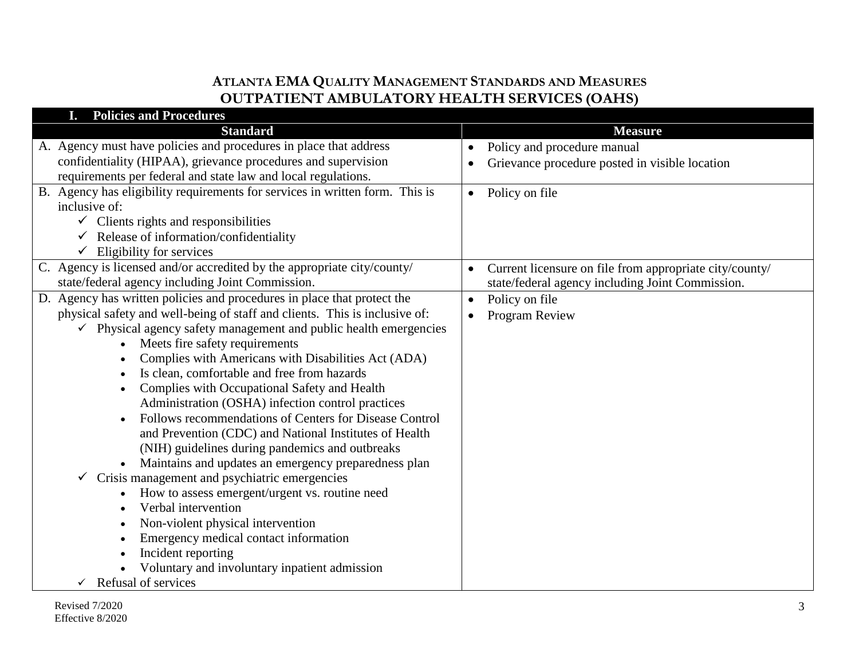| <b>Policies and Procedures</b>                                                                              |                                                                      |
|-------------------------------------------------------------------------------------------------------------|----------------------------------------------------------------------|
| <b>Standard</b>                                                                                             | <b>Measure</b>                                                       |
| A. Agency must have policies and procedures in place that address                                           | Policy and procedure manual                                          |
| confidentiality (HIPAA), grievance procedures and supervision                                               | Grievance procedure posted in visible location                       |
| requirements per federal and state law and local regulations.                                               |                                                                      |
| B. Agency has eligibility requirements for services in written form. This is                                | Policy on file<br>$\bullet$                                          |
| inclusive of:                                                                                               |                                                                      |
| $\checkmark$ Clients rights and responsibilities                                                            |                                                                      |
| $\checkmark$ Release of information/confidentiality                                                         |                                                                      |
| $\checkmark$ Eligibility for services                                                                       |                                                                      |
| C. Agency is licensed and/or accredited by the appropriate city/county/                                     | Current licensure on file from appropriate city/county/<br>$\bullet$ |
| state/federal agency including Joint Commission.                                                            | state/federal agency including Joint Commission.                     |
| D. Agency has written policies and procedures in place that protect the                                     | Policy on file<br>$\bullet$                                          |
| physical safety and well-being of staff and clients. This is inclusive of:                                  | Program Review                                                       |
| $\checkmark$ Physical agency safety management and public health emergencies                                |                                                                      |
| Meets fire safety requirements                                                                              |                                                                      |
| Complies with Americans with Disabilities Act (ADA)                                                         |                                                                      |
| Is clean, comfortable and free from hazards                                                                 |                                                                      |
| Complies with Occupational Safety and Health                                                                |                                                                      |
| Administration (OSHA) infection control practices<br>Follows recommendations of Centers for Disease Control |                                                                      |
| and Prevention (CDC) and National Institutes of Health                                                      |                                                                      |
| (NIH) guidelines during pandemics and outbreaks                                                             |                                                                      |
| Maintains and updates an emergency preparedness plan                                                        |                                                                      |
| Crisis management and psychiatric emergencies<br>✓                                                          |                                                                      |
| How to assess emergent/urgent vs. routine need                                                              |                                                                      |
| Verbal intervention                                                                                         |                                                                      |
| Non-violent physical intervention<br>$\bullet$                                                              |                                                                      |
| Emergency medical contact information<br>$\bullet$                                                          |                                                                      |
| Incident reporting                                                                                          |                                                                      |
| Voluntary and involuntary inpatient admission                                                               |                                                                      |
| Refusal of services                                                                                         |                                                                      |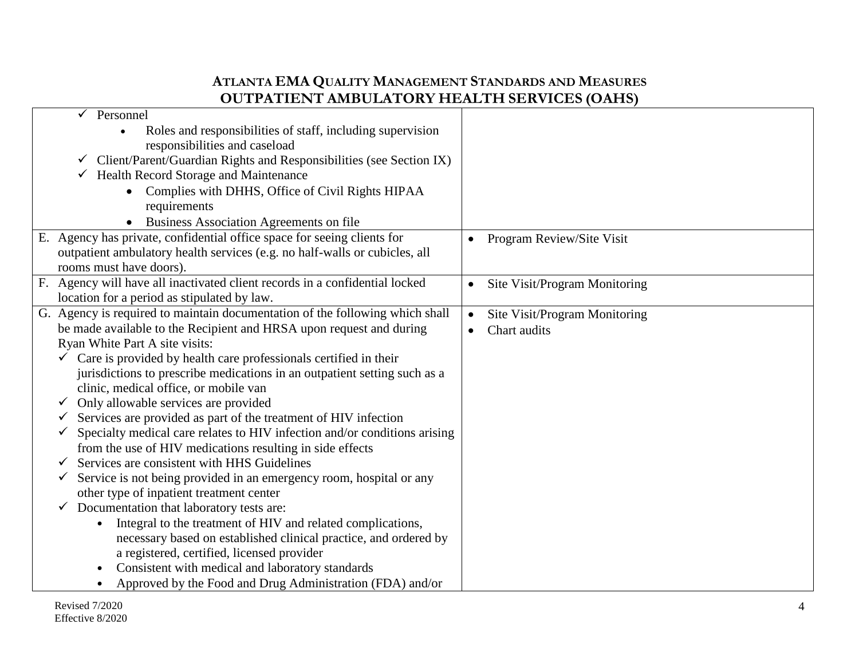|   | Personnel                                                                                                                   |           |                               |  |
|---|-----------------------------------------------------------------------------------------------------------------------------|-----------|-------------------------------|--|
|   | Roles and responsibilities of staff, including supervision<br>responsibilities and caseload                                 |           |                               |  |
|   | Client/Parent/Guardian Rights and Responsibilities (see Section IX)<br>$\checkmark$                                         |           |                               |  |
|   | <b>Health Record Storage and Maintenance</b><br>✓                                                                           |           |                               |  |
|   | Complies with DHHS, Office of Civil Rights HIPAA<br>requirements                                                            |           |                               |  |
|   | Business Association Agreements on file                                                                                     |           |                               |  |
|   | E. Agency has private, confidential office space for seeing clients for                                                     | $\bullet$ | Program Review/Site Visit     |  |
|   | outpatient ambulatory health services (e.g. no half-walls or cubicles, all                                                  |           |                               |  |
|   | rooms must have doors).                                                                                                     |           |                               |  |
|   | F. Agency will have all inactivated client records in a confidential locked                                                 | $\bullet$ | Site Visit/Program Monitoring |  |
|   | location for a period as stipulated by law.<br>G. Agency is required to maintain documentation of the following which shall |           |                               |  |
|   | be made available to the Recipient and HRSA upon request and during                                                         | $\bullet$ | Site Visit/Program Monitoring |  |
|   | Ryan White Part A site visits:                                                                                              |           | Chart audits                  |  |
|   | Care is provided by health care professionals certified in their                                                            |           |                               |  |
|   | jurisdictions to prescribe medications in an outpatient setting such as a                                                   |           |                               |  |
|   | clinic, medical office, or mobile van                                                                                       |           |                               |  |
|   | Only allowable services are provided                                                                                        |           |                               |  |
| ✓ | Services are provided as part of the treatment of HIV infection                                                             |           |                               |  |
|   | Specialty medical care relates to HIV infection and/or conditions arising                                                   |           |                               |  |
|   | from the use of HIV medications resulting in side effects                                                                   |           |                               |  |
|   | Services are consistent with HHS Guidelines                                                                                 |           |                               |  |
| ✓ | Service is not being provided in an emergency room, hospital or any                                                         |           |                               |  |
|   | other type of inpatient treatment center                                                                                    |           |                               |  |
| ✓ | Documentation that laboratory tests are:                                                                                    |           |                               |  |
|   | Integral to the treatment of HIV and related complications,<br>$\bullet$                                                    |           |                               |  |
|   | necessary based on established clinical practice, and ordered by                                                            |           |                               |  |
|   | a registered, certified, licensed provider                                                                                  |           |                               |  |
|   | Consistent with medical and laboratory standards                                                                            |           |                               |  |
|   | Approved by the Food and Drug Administration (FDA) and/or                                                                   |           |                               |  |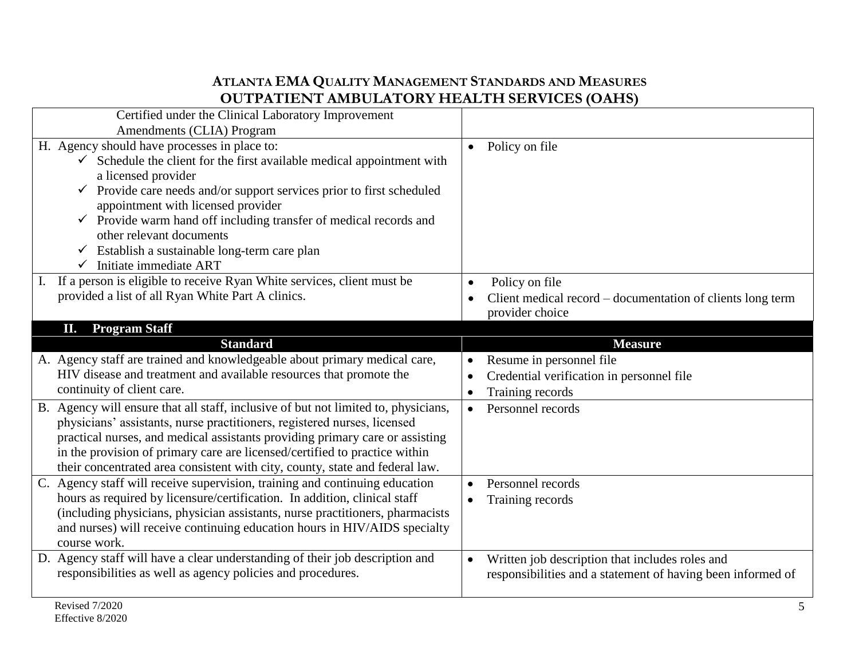| Certified under the Clinical Laboratory Improvement                                |                                                             |
|------------------------------------------------------------------------------------|-------------------------------------------------------------|
| Amendments (CLIA) Program                                                          |                                                             |
| H. Agency should have processes in place to:                                       | Policy on file<br>$\bullet$                                 |
| $\checkmark$ Schedule the client for the first available medical appointment with  |                                                             |
| a licensed provider                                                                |                                                             |
| $\checkmark$ Provide care needs and/or support services prior to first scheduled   |                                                             |
| appointment with licensed provider                                                 |                                                             |
| $\checkmark$ Provide warm hand off including transfer of medical records and       |                                                             |
| other relevant documents                                                           |                                                             |
| $\checkmark$ Establish a sustainable long-term care plan                           |                                                             |
| $\checkmark$ Initiate immediate ART                                                |                                                             |
| If a person is eligible to receive Ryan White services, client must be             | Policy on file<br>$\bullet$                                 |
| provided a list of all Ryan White Part A clinics.                                  | Client medical record – documentation of clients long term  |
|                                                                                    | provider choice                                             |
| <b>Program Staff</b><br>П.                                                         |                                                             |
| <b>Standard</b>                                                                    | <b>Measure</b>                                              |
| A. Agency staff are trained and knowledgeable about primary medical care,          | Resume in personnel file<br>$\bullet$                       |
|                                                                                    |                                                             |
| HIV disease and treatment and available resources that promote the                 | Credential verification in personnel file<br>$\bullet$      |
| continuity of client care.                                                         | Training records                                            |
| B. Agency will ensure that all staff, inclusive of but not limited to, physicians, | Personnel records<br>$\bullet$                              |
| physicians' assistants, nurse practitioners, registered nurses, licensed           |                                                             |
| practical nurses, and medical assistants providing primary care or assisting       |                                                             |
| in the provision of primary care are licensed/certified to practice within         |                                                             |
| their concentrated area consistent with city, county, state and federal law.       |                                                             |
| C. Agency staff will receive supervision, training and continuing education        | Personnel records                                           |
| hours as required by licensure/certification. In addition, clinical staff          | Training records                                            |
| (including physicians, physician assistants, nurse practitioners, pharmacists      |                                                             |
| and nurses) will receive continuing education hours in HIV/AIDS specialty          |                                                             |
| course work.                                                                       |                                                             |
| D. Agency staff will have a clear understanding of their job description and       | Written job description that includes roles and             |
| responsibilities as well as agency policies and procedures.                        | responsibilities and a statement of having been informed of |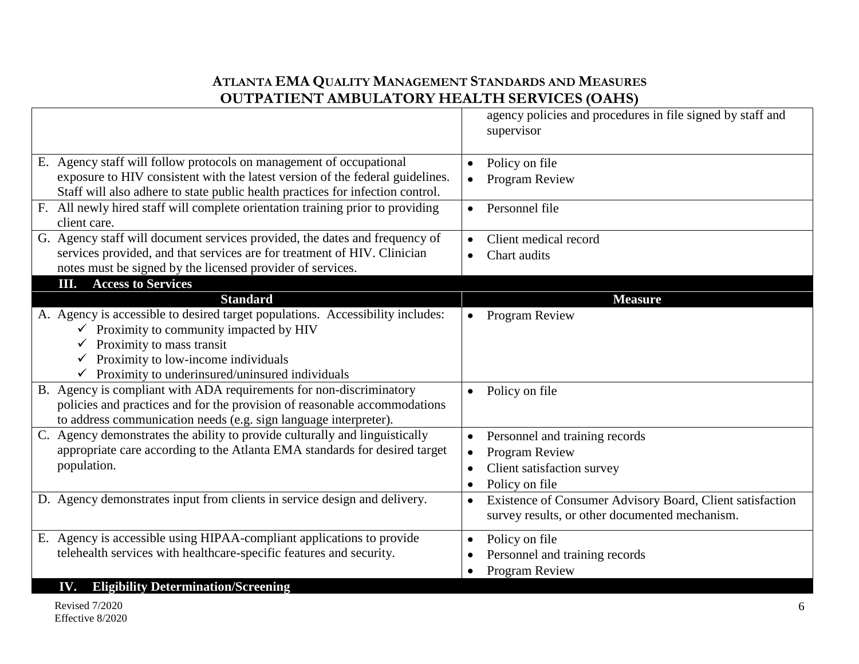|                                                                                                | agency policies and procedures in file signed by staff and             |
|------------------------------------------------------------------------------------------------|------------------------------------------------------------------------|
|                                                                                                | supervisor                                                             |
| E. Agency staff will follow protocols on management of occupational                            |                                                                        |
| exposure to HIV consistent with the latest version of the federal guidelines.                  | Policy on file<br>$\bullet$                                            |
|                                                                                                | Program Review                                                         |
| Staff will also adhere to state public health practices for infection control.                 |                                                                        |
| F. All newly hired staff will complete orientation training prior to providing<br>client care. | Personnel file<br>$\bullet$                                            |
| G. Agency staff will document services provided, the dates and frequency of                    | Client medical record                                                  |
| services provided, and that services are for treatment of HIV. Clinician                       | Chart audits<br>$\bullet$                                              |
| notes must be signed by the licensed provider of services.                                     |                                                                        |
| <b>III.</b> Access to Services                                                                 |                                                                        |
| <b>Standard</b>                                                                                | <b>Measure</b>                                                         |
| A. Agency is accessible to desired target populations. Accessibility includes:                 | <b>Program Review</b>                                                  |
| $\checkmark$ Proximity to community impacted by HIV                                            |                                                                        |
| Proximity to mass transit                                                                      |                                                                        |
| $\checkmark$ Proximity to low-income individuals                                               |                                                                        |
| $\checkmark$ Proximity to underinsured/uninsured individuals                                   |                                                                        |
| B. Agency is compliant with ADA requirements for non-discriminatory                            | Policy on file<br>$\bullet$                                            |
| policies and practices and for the provision of reasonable accommodations                      |                                                                        |
| to address communication needs (e.g. sign language interpreter).                               |                                                                        |
| C. Agency demonstrates the ability to provide culturally and linguistically                    | Personnel and training records<br>$\bullet$                            |
| appropriate care according to the Atlanta EMA standards for desired target                     | Program Review<br>$\bullet$                                            |
| population.                                                                                    | Client satisfaction survey                                             |
|                                                                                                | Policy on file<br>$\bullet$                                            |
| D. Agency demonstrates input from clients in service design and delivery.                      | Existence of Consumer Advisory Board, Client satisfaction<br>$\bullet$ |
|                                                                                                | survey results, or other documented mechanism.                         |
| E. Agency is accessible using HIPAA-compliant applications to provide                          |                                                                        |
| telehealth services with healthcare-specific features and security.                            | Policy on file<br>$\bullet$                                            |
|                                                                                                | Personnel and training records<br>٠                                    |
|                                                                                                | Program Review                                                         |
| <b>IV.</b> Eligibility Determination/Screening                                                 |                                                                        |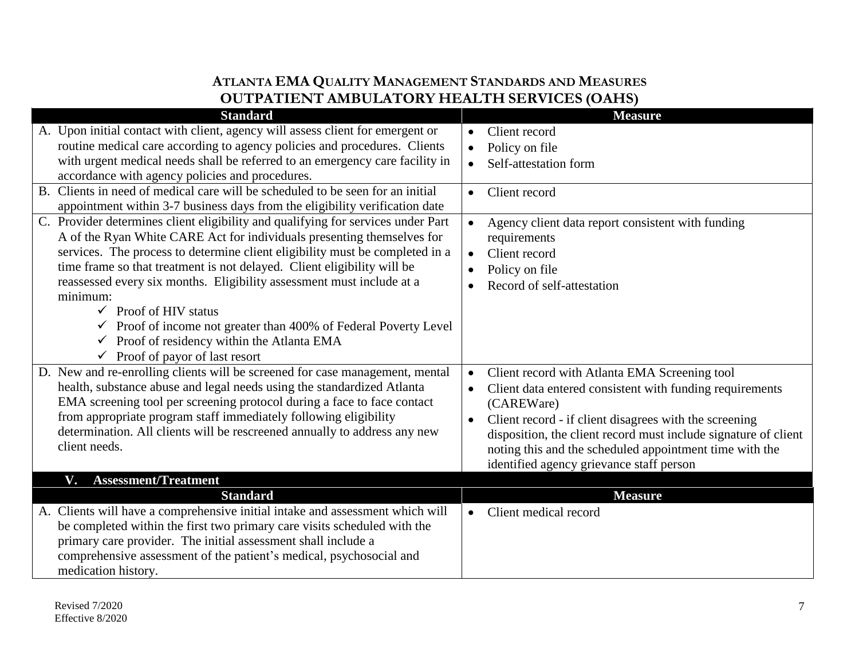| <b>Standard</b>                                                                          | <b>Measure</b>                                                        |
|------------------------------------------------------------------------------------------|-----------------------------------------------------------------------|
| A. Upon initial contact with client, agency will assess client for emergent or           | Client record<br>$\bullet$                                            |
| routine medical care according to agency policies and procedures. Clients                | Policy on file                                                        |
| with urgent medical needs shall be referred to an emergency care facility in             | Self-attestation form<br>$\bullet$                                    |
| accordance with agency policies and procedures.                                          |                                                                       |
| Clients in need of medical care will be scheduled to be seen for an initial<br><b>B.</b> | Client record<br>$\bullet$                                            |
| appointment within 3-7 business days from the eligibility verification date              |                                                                       |
| C. Provider determines client eligibility and qualifying for services under Part         | Agency client data report consistent with funding<br>$\bullet$        |
| A of the Ryan White CARE Act for individuals presenting themselves for                   | requirements                                                          |
| services. The process to determine client eligibility must be completed in a             | Client record<br>$\bullet$                                            |
| time frame so that treatment is not delayed. Client eligibility will be                  | Policy on file<br>$\bullet$                                           |
| reassessed every six months. Eligibility assessment must include at a                    | Record of self-attestation                                            |
| minimum:                                                                                 |                                                                       |
| $\checkmark$ Proof of HIV status                                                         |                                                                       |
| $\checkmark$ Proof of income not greater than 400% of Federal Poverty Level              |                                                                       |
| Proof of residency within the Atlanta EMA<br>$\checkmark$                                |                                                                       |
| $\checkmark$ Proof of payor of last resort                                               |                                                                       |
| D. New and re-enrolling clients will be screened for case management, mental             | Client record with Atlanta EMA Screening tool<br>$\bullet$            |
| health, substance abuse and legal needs using the standardized Atlanta                   | Client data entered consistent with funding requirements<br>$\bullet$ |
| EMA screening tool per screening protocol during a face to face contact                  | (CAREWare)                                                            |
| from appropriate program staff immediately following eligibility                         | Client record - if client disagrees with the screening<br>$\bullet$   |
| determination. All clients will be rescreened annually to address any new                | disposition, the client record must include signature of client       |
| client needs.                                                                            | noting this and the scheduled appointment time with the               |
|                                                                                          | identified agency grievance staff person                              |
| <b>Assessment/Treatment</b><br>V.                                                        |                                                                       |
| <b>Standard</b>                                                                          | <b>Measure</b>                                                        |
| A. Clients will have a comprehensive initial intake and assessment which will            | Client medical record<br>$\bullet$                                    |
| be completed within the first two primary care visits scheduled with the                 |                                                                       |
| primary care provider. The initial assessment shall include a                            |                                                                       |
| comprehensive assessment of the patient's medical, psychosocial and                      |                                                                       |
| medication history.                                                                      |                                                                       |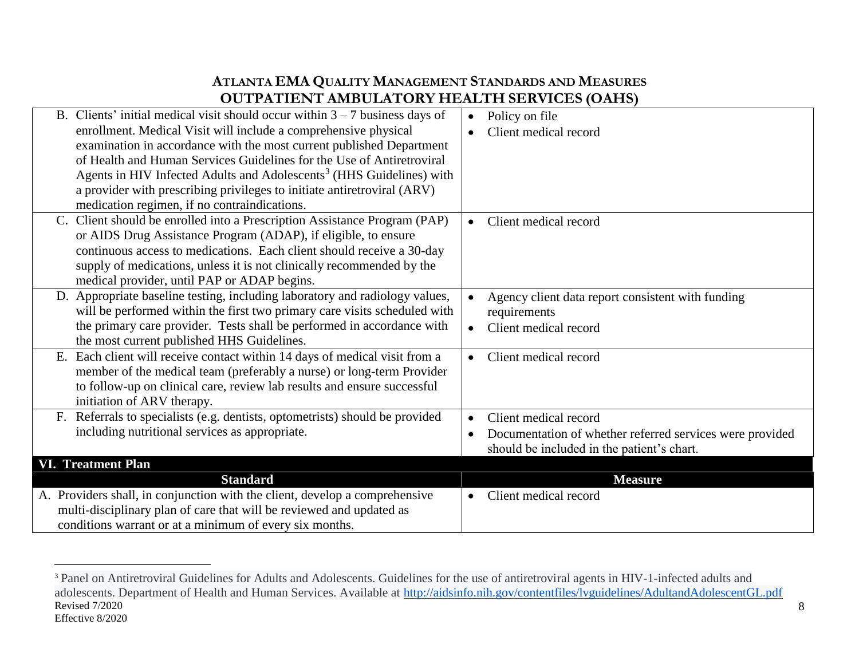| B. Clients' initial medical visit should occur within $3 - 7$ business days of   | Policy on file                                                        |
|----------------------------------------------------------------------------------|-----------------------------------------------------------------------|
| enrollment. Medical Visit will include a comprehensive physical                  | Client medical record                                                 |
| examination in accordance with the most current published Department             |                                                                       |
| of Health and Human Services Guidelines for the Use of Antiretroviral            |                                                                       |
| Agents in HIV Infected Adults and Adolescents <sup>3</sup> (HHS Guidelines) with |                                                                       |
| a provider with prescribing privileges to initiate antiretroviral (ARV)          |                                                                       |
| medication regimen, if no contraindications.                                     |                                                                       |
| C. Client should be enrolled into a Prescription Assistance Program (PAP)        | Client medical record<br>$\bullet$                                    |
| or AIDS Drug Assistance Program (ADAP), if eligible, to ensure                   |                                                                       |
| continuous access to medications. Each client should receive a 30-day            |                                                                       |
| supply of medications, unless it is not clinically recommended by the            |                                                                       |
| medical provider, until PAP or ADAP begins.                                      |                                                                       |
| D. Appropriate baseline testing, including laboratory and radiology values,      | Agency client data report consistent with funding<br>$\bullet$        |
| will be performed within the first two primary care visits scheduled with        | requirements                                                          |
| the primary care provider. Tests shall be performed in accordance with           | Client medical record<br>$\bullet$                                    |
| the most current published HHS Guidelines.                                       |                                                                       |
| E. Each client will receive contact within 14 days of medical visit from a       | Client medical record<br>$\bullet$                                    |
| member of the medical team (preferably a nurse) or long-term Provider            |                                                                       |
| to follow-up on clinical care, review lab results and ensure successful          |                                                                       |
| initiation of ARV therapy.                                                       |                                                                       |
| Referrals to specialists (e.g. dentists, optometrists) should be provided        | Client medical record<br>$\bullet$                                    |
| including nutritional services as appropriate.                                   | Documentation of whether referred services were provided<br>$\bullet$ |
|                                                                                  | should be included in the patient's chart.                            |
| <b>VI. Treatment Plan</b>                                                        |                                                                       |
| <b>Standard</b>                                                                  | <b>Measure</b>                                                        |
| A. Providers shall, in conjunction with the client, develop a comprehensive      | Client medical record<br>$\bullet$                                    |
| multi-disciplinary plan of care that will be reviewed and updated as             |                                                                       |
| conditions warrant or at a minimum of every six months.                          |                                                                       |

 $\overline{a}$ 

Revised 7/2020 Effective 8/2020 <sup>3</sup> Panel on Antiretroviral Guidelines for Adults and Adolescents. Guidelines for the use of antiretroviral agents in HIV-1-infected adults and adolescents. Department of Health and Human Services. Available at <http://aidsinfo.nih.gov/contentfiles/lvguidelines/AdultandAdolescentGL.pdf>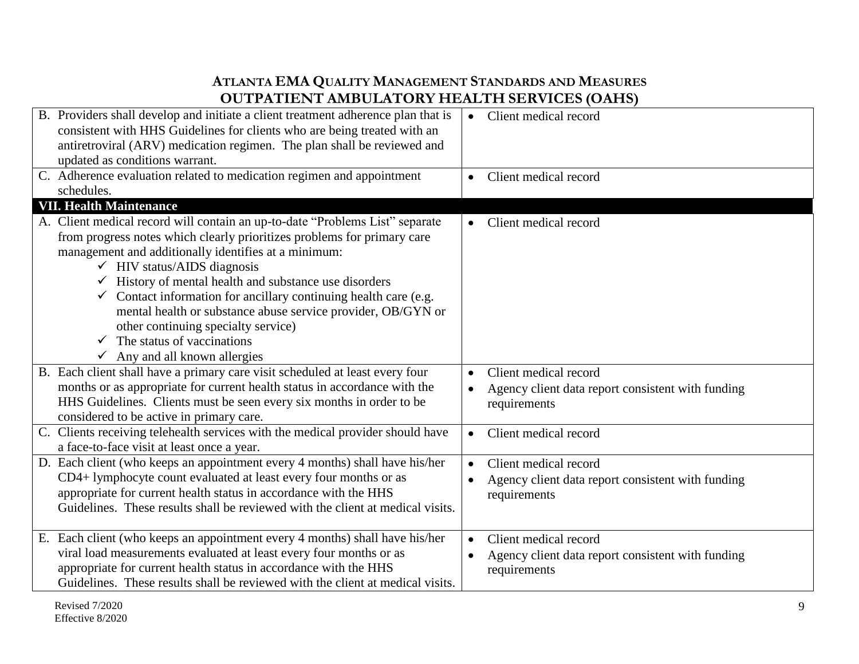| B. Providers shall develop and initiate a client treatment adherence plan that is<br>consistent with HHS Guidelines for clients who are being treated with an<br>antiretroviral (ARV) medication regimen. The plan shall be reviewed and<br>updated as conditions warrant.                                                                                                                                                                                                                                                                                                                     | Client medical record<br>$\bullet$                                                                      |
|------------------------------------------------------------------------------------------------------------------------------------------------------------------------------------------------------------------------------------------------------------------------------------------------------------------------------------------------------------------------------------------------------------------------------------------------------------------------------------------------------------------------------------------------------------------------------------------------|---------------------------------------------------------------------------------------------------------|
| C. Adherence evaluation related to medication regimen and appointment<br>schedules.                                                                                                                                                                                                                                                                                                                                                                                                                                                                                                            | Client medical record                                                                                   |
| <b>VII. Health Maintenance</b>                                                                                                                                                                                                                                                                                                                                                                                                                                                                                                                                                                 |                                                                                                         |
| A. Client medical record will contain an up-to-date "Problems List" separate<br>from progress notes which clearly prioritizes problems for primary care<br>management and additionally identifies at a minimum:<br>$\checkmark$ HIV status/AIDS diagnosis<br>$\checkmark$ History of mental health and substance use disorders<br>$\checkmark$ Contact information for ancillary continuing health care (e.g.<br>mental health or substance abuse service provider, OB/GYN or<br>other continuing specialty service)<br>The status of vaccinations<br>$\checkmark$ Any and all known allergies | Client medical record                                                                                   |
| B. Each client shall have a primary care visit scheduled at least every four<br>months or as appropriate for current health status in accordance with the<br>HHS Guidelines. Clients must be seen every six months in order to be<br>considered to be active in primary care.                                                                                                                                                                                                                                                                                                                  | Client medical record<br>Agency client data report consistent with funding<br>requirements              |
| C. Clients receiving telehealth services with the medical provider should have<br>a face-to-face visit at least once a year.                                                                                                                                                                                                                                                                                                                                                                                                                                                                   | Client medical record<br>$\bullet$                                                                      |
| D. Each client (who keeps an appointment every 4 months) shall have his/her<br>CD4+ lymphocyte count evaluated at least every four months or as<br>appropriate for current health status in accordance with the HHS<br>Guidelines. These results shall be reviewed with the client at medical visits.                                                                                                                                                                                                                                                                                          | Client medical record<br>Agency client data report consistent with funding<br>requirements              |
| E. Each client (who keeps an appointment every 4 months) shall have his/her<br>viral load measurements evaluated at least every four months or as<br>appropriate for current health status in accordance with the HHS<br>Guidelines. These results shall be reviewed with the client at medical visits.                                                                                                                                                                                                                                                                                        | Client medical record<br>$\bullet$<br>Agency client data report consistent with funding<br>requirements |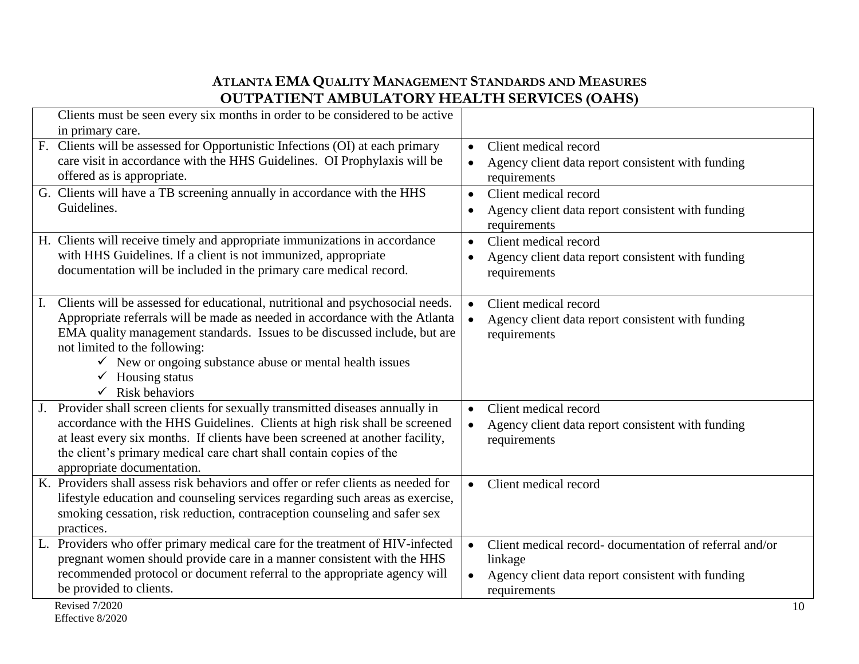| Clients must be seen every six months in order to be considered to be active                    |                                                                     |
|-------------------------------------------------------------------------------------------------|---------------------------------------------------------------------|
| in primary care.                                                                                |                                                                     |
| F. Clients will be assessed for Opportunistic Infections (OI) at each primary                   | Client medical record<br>$\bullet$                                  |
| care visit in accordance with the HHS Guidelines. OI Prophylaxis will be                        | Agency client data report consistent with funding<br>$\bullet$      |
| offered as is appropriate.                                                                      | requirements                                                        |
| G. Clients will have a TB screening annually in accordance with the HHS                         | Client medical record<br>$\bullet$                                  |
| Guidelines.                                                                                     | Agency client data report consistent with funding                   |
|                                                                                                 | requirements                                                        |
| H. Clients will receive timely and appropriate immunizations in accordance                      | Client medical record<br>$\bullet$                                  |
| with HHS Guidelines. If a client is not immunized, appropriate                                  | Agency client data report consistent with funding<br>$\bullet$      |
| documentation will be included in the primary care medical record.                              | requirements                                                        |
|                                                                                                 |                                                                     |
| Clients will be assessed for educational, nutritional and psychosocial needs.<br>$\mathbf{I}$ . | Client medical record<br>$\bullet$                                  |
| Appropriate referrals will be made as needed in accordance with the Atlanta                     | Agency client data report consistent with funding<br>$\bullet$      |
| EMA quality management standards. Issues to be discussed include, but are                       | requirements                                                        |
| not limited to the following:                                                                   |                                                                     |
| $\checkmark$ New or ongoing substance abuse or mental health issues                             |                                                                     |
| $\checkmark$ Housing status                                                                     |                                                                     |
| $\checkmark$ Risk behaviors                                                                     |                                                                     |
| Provider shall screen clients for sexually transmitted diseases annually in                     | Client medical record<br>$\bullet$                                  |
| accordance with the HHS Guidelines. Clients at high risk shall be screened                      | Agency client data report consistent with funding<br>$\bullet$      |
| at least every six months. If clients have been screened at another facility,                   | requirements                                                        |
| the client's primary medical care chart shall contain copies of the                             |                                                                     |
| appropriate documentation.                                                                      |                                                                     |
| K. Providers shall assess risk behaviors and offer or refer clients as needed for               | Client medical record<br>$\bullet$                                  |
| lifestyle education and counseling services regarding such areas as exercise,                   |                                                                     |
| smoking cessation, risk reduction, contraception counseling and safer sex                       |                                                                     |
| practices.                                                                                      |                                                                     |
| L. Providers who offer primary medical care for the treatment of HIV-infected                   | Client medical record-documentation of referral and/or<br>$\bullet$ |
| pregnant women should provide care in a manner consistent with the HHS                          | linkage                                                             |
| recommended protocol or document referral to the appropriate agency will                        | Agency client data report consistent with funding<br>$\bullet$      |
| be provided to clients.                                                                         | requirements                                                        |
| Revised 7/2020                                                                                  | 10                                                                  |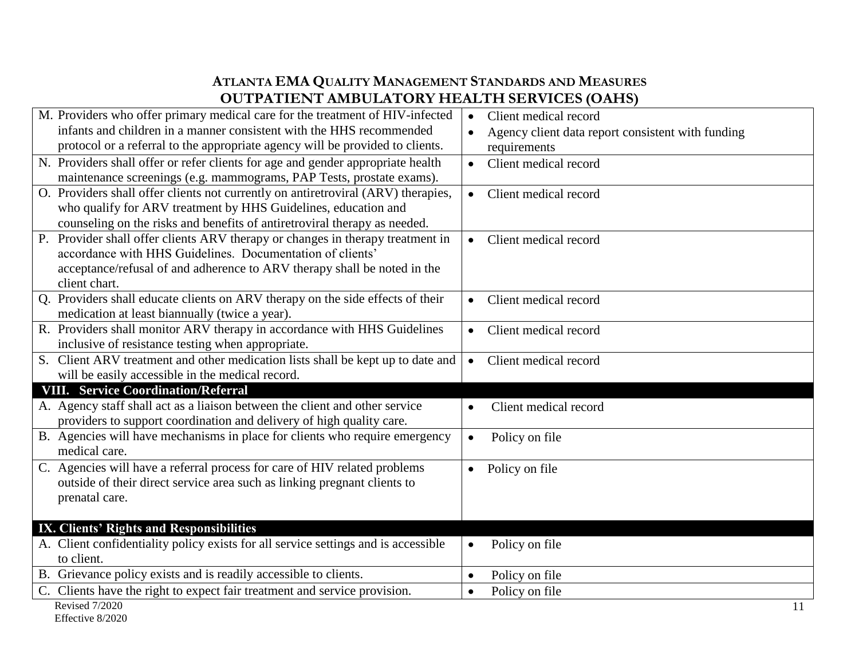| M. Providers who offer primary medical care for the treatment of HIV-infected      | Client medical record<br>$\bullet$                |
|------------------------------------------------------------------------------------|---------------------------------------------------|
| infants and children in a manner consistent with the HHS recommended               | Agency client data report consistent with funding |
| protocol or a referral to the appropriate agency will be provided to clients.      | requirements                                      |
| N. Providers shall offer or refer clients for age and gender appropriate health    | Client medical record<br>$\bullet$                |
| maintenance screenings (e.g. mammograms, PAP Tests, prostate exams).               |                                                   |
| O. Providers shall offer clients not currently on antiretroviral (ARV) therapies,  | Client medical record<br>$\bullet$                |
| who qualify for ARV treatment by HHS Guidelines, education and                     |                                                   |
| counseling on the risks and benefits of antiretroviral therapy as needed.          |                                                   |
| P. Provider shall offer clients ARV therapy or changes in therapy treatment in     | Client medical record<br>$\bullet$                |
| accordance with HHS Guidelines. Documentation of clients'                          |                                                   |
| acceptance/refusal of and adherence to ARV therapy shall be noted in the           |                                                   |
| client chart.                                                                      |                                                   |
| Q. Providers shall educate clients on ARV therapy on the side effects of their     | Client medical record<br>$\bullet$                |
| medication at least biannually (twice a year).                                     |                                                   |
| R. Providers shall monitor ARV therapy in accordance with HHS Guidelines           | Client medical record<br>$\bullet$                |
| inclusive of resistance testing when appropriate.                                  |                                                   |
| S. Client ARV treatment and other medication lists shall be kept up to date and    | Client medical record<br>$\bullet$                |
| will be easily accessible in the medical record.                                   |                                                   |
| <b>VIII. Service Coordination/Referral</b>                                         |                                                   |
| A. Agency staff shall act as a liaison between the client and other service        | Client medical record<br>$\bullet$                |
| providers to support coordination and delivery of high quality care.               |                                                   |
| B. Agencies will have mechanisms in place for clients who require emergency        | Policy on file<br>$\bullet$                       |
| medical care.                                                                      |                                                   |
| C. Agencies will have a referral process for care of HIV related problems          | Policy on file<br>$\bullet$                       |
| outside of their direct service area such as linking pregnant clients to           |                                                   |
| prenatal care.                                                                     |                                                   |
|                                                                                    |                                                   |
| IX. Clients' Rights and Responsibilities                                           |                                                   |
| A. Client confidentiality policy exists for all service settings and is accessible | Policy on file<br>$\bullet$                       |
| to client.                                                                         |                                                   |
| B. Grievance policy exists and is readily accessible to clients.                   | Policy on file<br>$\bullet$                       |
| C. Clients have the right to expect fair treatment and service provision.          | Policy on file<br>$\bullet$                       |
| <b>Revised 7/2020</b>                                                              | 11                                                |